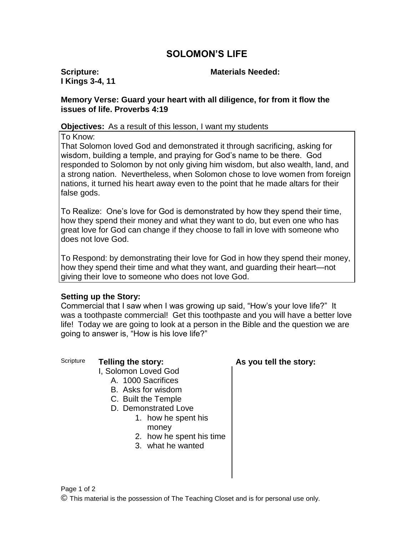# **SOLOMON'S LIFE**

**Scripture: I Kings 3-4, 11**

#### **Materials Needed:**

### **Memory Verse: Guard your heart with all diligence, for from it flow the issues of life. Proverbs 4:19**

#### **Objectives:** As a result of this lesson, I want my students

To Know:

That Solomon loved God and demonstrated it through sacrificing, asking for wisdom, building a temple, and praying for God's name to be there. God responded to Solomon by not only giving him wisdom, but also wealth, land, and a strong nation. Nevertheless, when Solomon chose to love women from foreign nations, it turned his heart away even to the point that he made altars for their false gods.

To Realize: One's love for God is demonstrated by how they spend their time, how they spend their money and what they want to do, but even one who has great love for God can change if they choose to fall in love with someone who does not love God.

To Respond: by demonstrating their love for God in how they spend their money, how they spend their time and what they want, and guarding their heart—not giving their love to someone who does not love God.

#### **Setting up the Story:**

Commercial that I saw when I was growing up said, "How's your love life?" It was a toothpaste commercial! Get this toothpaste and you will have a better love life! Today we are going to look at a person in the Bible and the question we are going to answer is, "How is his love life?"

### Scripture **Telling the story: As you tell the story:**

- I, Solomon Loved God
	- A. 1000 Sacrifices
	- B. Asks for wisdom
	- C. Built the Temple
	- D. Demonstrated Love
		- 1. how he spent his money
		- 2. how he spent his time
		- 3. what he wanted